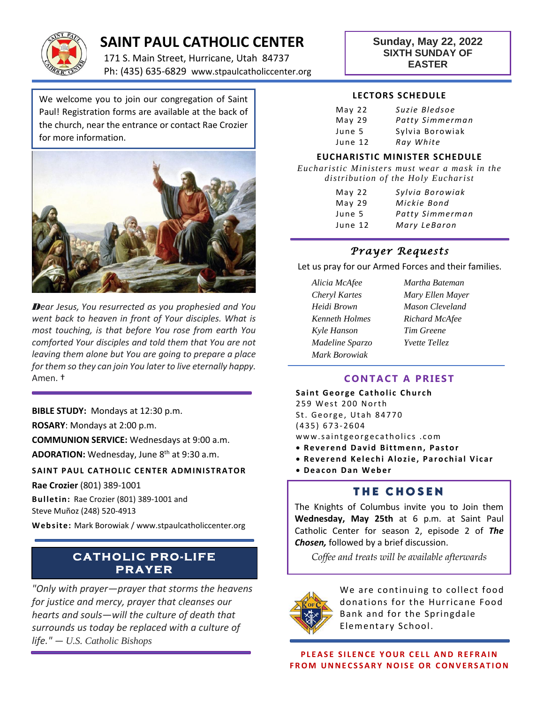

## **SAINT PAUL CATHOLIC CENTER**

171 S. Main Street, Hurricane, Utah 84737 Ph: (435) 635-6829 www.stpaulcatholiccenter.org **Sunday, May 22, 2022 SIXTH SUNDAY OF EASTER**

We welcome you to join our congregation of Saint Paul! Registration forms are available at the back of the church, near the entrance or contact Rae Crozier for more information.



*Dear Jesus, You resurrected as you prophesied and You went back to heaven in front of Your disciples. What is most touching, is that before You rose from earth You comforted Your disciples and told them that You are not leaving them alone but You are going to prepare a place for them so they can join You later to live eternally happy.*  Amen. †

**BIBLE STUDY:** Mondays at 12:30 p.m.

**ROSARY**: Mondays at 2:00 p.m.

**COMMUNION SERVICE:** Wednesdays at 9:00 a.m.

ADORATION: Wednesday, June 8<sup>th</sup> at 9:30 a.m.

**SAINT PAUL CATHOLIC CENTER ADMINISTRATOR** 

**Rae Crozier** (801) 389-1001

**Bulletin:** Rae Crozier (801) 389-1001 and Steve Muñoz (248) 520-4913

**Web site:** Mark Borowiak / www.stpaulcatholiccenter.org

# **PR A Y ER**

*"Only with prayer—prayer that storms the heavens for justice and mercy, prayer that cleanses our hearts and souls—will the culture of death that surrounds us today be replaced with a culture of life." — U.S. Catholic Bishops*

#### **LECTORS SCHEDULE**

| May <sub>22</sub> | Suzie Bledsoe   |
|-------------------|-----------------|
| May <sub>29</sub> | Patty Simmerman |
| June 5            | Sylvia Borowiak |
| June 12           | Ray White       |

#### **EUCHARISTIC MINISTER SCHEDULE**

*Eucharistic Ministers must wear a mask in the distribution of the Holy Eucharist*

| May <sub>22</sub> | Sylvia Borowiak |
|-------------------|-----------------|
| May <sub>29</sub> | Mickie Bond     |
| June 5            | Patty Simmerman |
| June 12           | Mary LeBaron    |

## *Prayer Requests*

Let us pray for our Armed Forces and their families.

- *Alicia McAfee Martha Bateman Cheryl Kartes Mary Ellen Mayer Heidi Brown Mason Cleveland Kenneth Holmes Richard McAfee Kyle Hanson Tim Greene Madeline Sparzo Yvette Tellez Mark Borowiak*
	-

## **CONTACT A PRIEST**

**Saint George Catholic Church** 259 West 200 North St. George, Utah 84770 ( 4 3 5 ) 6 7 3- 2604 www.saintgeorgecatholics.com

- **Reverend David Bittmenn, Pastor**
- **Reverend Kelechi Alozie, Parochial Vicar**
- **D e a c o n D a n W e b e r**

## **THE CHOSEN**

The Knights of Columbus invite you to Join them **Wednesday, May 25th** at 6 p.m. at Saint Paul Catholic Center for season 2, episode 2 of *The Chosen,* followed by a brief discussion.

**C A T HOLI C P RO-LI FE** *Coffee and treats will be available afterwards*



We are continuing to collect food donations for the Hurricane Food Bank and for the Springdale Elementary School.